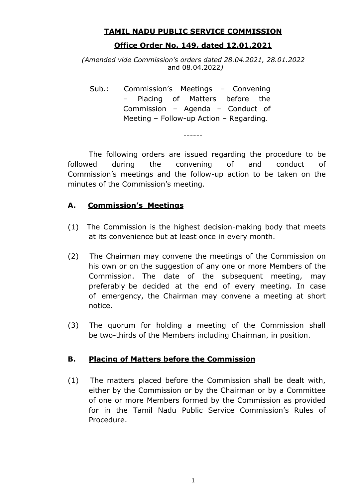#### **TAMIL NADU PUBLIC SERVICE COMMISSION**

## **Office Order No. 149, dated 12.01.2021**

*(Amended vide Commission's orders dated 28.04.2021, 28.01.2022*  and 08.04.2022*)*

Sub.: Commission's Meetings – Convening Placing of Matters before the Commission – Agenda – Conduct of Meeting – Follow-up Action – Regarding.

The following orders are issued regarding the procedure to be followed during the convening of and conduct of Commission's meetings and the follow-up action to be taken on the minutes of the Commission's meeting.

------

## **A. Commission's Meetings**

- (1) The Commission is the highest decision-making body that meets at its convenience but at least once in every month.
- (2) The Chairman may convene the meetings of the Commission on his own or on the suggestion of any one or more Members of the Commission. The date of the subsequent meeting, may preferably be decided at the end of every meeting. In case of emergency, the Chairman may convene a meeting at short notice.
- (3) The quorum for holding a meeting of the Commission shall be two-thirds of the Members including Chairman, in position.

### **B. Placing of Matters before the Commission**

(1) The matters placed before the Commission shall be dealt with, either by the Commission or by the Chairman or by a Committee of one or more Members formed by the Commission as provided for in the Tamil Nadu Public Service Commission's Rules of Procedure.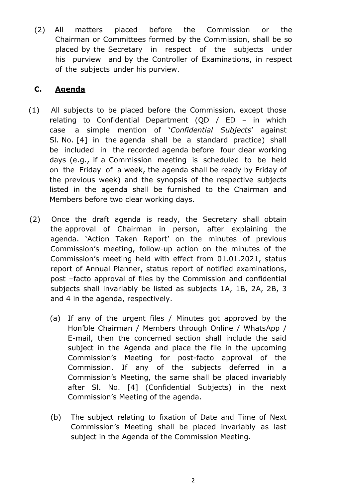(2) All matters placed before the Commission or the Chairman or Committees formed by the Commission, shall be so placed by the Secretary in respect of the subjects under his purview and by the Controller of Examinations, in respect of the subjects under his purview.

# **C. Agenda**

- (1) All subjects to be placed before the Commission, except those relating to Confidential Department (QD  $/$  ED – in which case a simple mention of '*Confidential Subjects*' against Sl. No. [4] in the agenda shall be a standard practice) shall be included in the recorded agenda before four clear working days (e.g., if a Commission meeting is scheduled to be held on the Friday of a week, the agenda shall be ready by Friday of the previous week) and the synopsis of the respective subjects listed in the agenda shall be furnished to the Chairman and Members before two clear working days.
- (2) Once the draft agenda is ready, the Secretary shall obtain the approval of Chairman in person, after explaining the agenda. 'Action Taken Report' on the minutes of previous Commission's meeting, follow-up action on the minutes of the Commission's meeting held with effect from 01.01.2021, status report of Annual Planner, status report of notified examinations, post –facto approval of files by the Commission and confidential subjects shall invariably be listed as subjects 1A, 1B, 2A, 2B, 3 and 4 in the agenda, respectively.
	- (a) If any of the urgent files / Minutes got approved by the Hon'ble Chairman / Members through Online / WhatsApp / E-mail, then the concerned section shall include the said subject in the Agenda and place the file in the upcoming Commission's Meeting for post-facto approval of the Commission. If any of the subjects deferred in a Commission's Meeting, the same shall be placed invariably after Sl. No. [4] (Confidential Subjects) in the next Commission's Meeting of the agenda.
	- (b) The subject relating to fixation of Date and Time of Next Commission's Meeting shall be placed invariably as last subject in the Agenda of the Commission Meeting.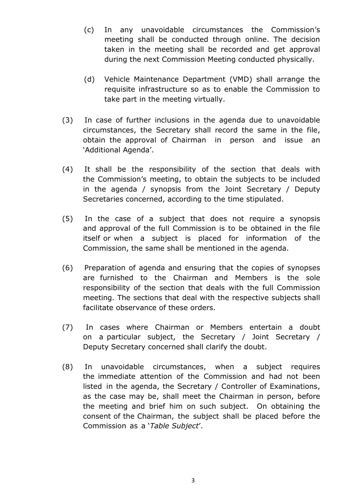- (c) In any unavoidable circumstances the Commission's meeting shall be conducted through online. The decision taken in the meeting shall be recorded and get approval during the next Commission Meeting conducted physically.
- (d) Vehicle Maintenance Department (VMD) shall arrange the requisite infrastructure so as to enable the Commission to take part in the meeting virtually.
- (3) In case of further inclusions in the agenda due to unavoidable circumstances, the Secretary shall record the same in the file, obtain the approval of Chairman in person and issue an 'Additional Agenda'.
- (4) It shall be the responsibility of the section that deals with the Commission's meeting, to obtain the subjects to be included in the agenda / synopsis from the Joint Secretary / Deputy Secretaries concerned, according to the time stipulated.
- (5) In the case of a subject that does not require a synopsis and approval of the full Commission is to be obtained in the file itself or when a subject is placed for information of the Commission, the same shall be mentioned in the agenda.
- (6) Preparation of agenda and ensuring that the copies of synopses are furnished to the Chairman and Members is the sole responsibility of the section that deals with the full Commission meeting. The sections that deal with the respective subjects shall facilitate observance of these orders.
- (7) In cases where Chairman or Members entertain a doubt on a particular subject, the Secretary / Joint Secretary / Deputy Secretary concerned shall clarify the doubt.
- (8) In unavoidable circumstances, when a subject requires the immediate attention of the Commission and had not been listed in the agenda, the Secretary / Controller of Examinations, as the case may be, shall meet the Chairman in person, before the meeting and brief him on such subject. On obtaining the consent of the Chairman, the subject shall be placed before the Commission as a '*Table Subject*'.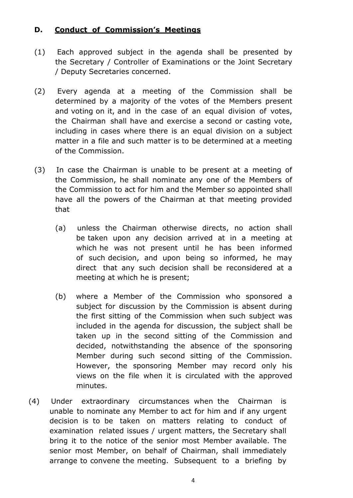# **D. Conduct of Commission's Meetings**

- (1) Each approved subject in the agenda shall be presented by the Secretary / Controller of Examinations or the Joint Secretary / Deputy Secretaries concerned.
- (2) Every agenda at a meeting of the Commission shall be determined by a majority of the votes of the Members present and voting on it, and in the case of an equal division of votes, the Chairman shall have and exercise a second or casting vote, including in cases where there is an equal division on a subject matter in a file and such matter is to be determined at a meeting of the Commission.
- (3) In case the Chairman is unable to be present at a meeting of the Commission, he shall nominate any one of the Members of the Commission to act for him and the Member so appointed shall have all the powers of the Chairman at that meeting provided that
	- (a) unless the Chairman otherwise directs, no action shall be taken upon any decision arrived at in a meeting at which he was not present until he has been informed of such decision, and upon being so informed, he may direct that any such decision shall be reconsidered at a meeting at which he is present;
	- (b) where a Member of the Commission who sponsored a subject for discussion by the Commission is absent during the first sitting of the Commission when such subject was included in the agenda for discussion, the subject shall be taken up in the second sitting of the Commission and decided, notwithstanding the absence of the sponsoring Member during such second sitting of the Commission. However, the sponsoring Member may record only his views on the file when it is circulated with the approved minutes.
- (4) Under extraordinary circumstances when the Chairman is unable to nominate any Member to act for him and if any urgent decision is to be taken on matters relating to conduct of examination related issues / urgent matters, the Secretary shall bring it to the notice of the senior most Member available. The senior most Member, on behalf of Chairman, shall immediately arrange to convene the meeting. Subsequent to a briefing by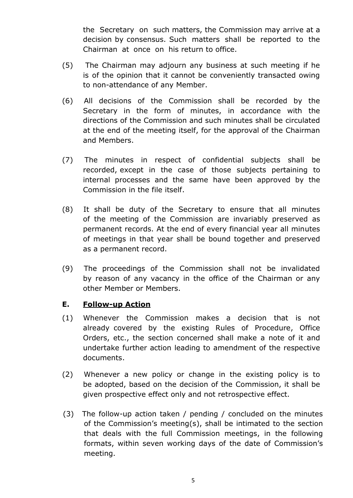the Secretary on such matters, the Commission may arrive at a decision by consensus. Such matters shall be reported to the Chairman at once on his return to office.

- (5) The Chairman may adjourn any business at such meeting if he is of the opinion that it cannot be conveniently transacted owing to non-attendance of any Member.
- (6) All decisions of the Commission shall be recorded by the Secretary in the form of minutes, in accordance with the directions of the Commission and such minutes shall be circulated at the end of the meeting itself, for the approval of the Chairman and Members.
- (7) The minutes in respect of confidential subjects shall be recorded, except in the case of those subjects pertaining to internal processes and the same have been approved by the Commission in the file itself.
- (8) It shall be duty of the Secretary to ensure that all minutes of the meeting of the Commission are invariably preserved as permanent records. At the end of every financial year all minutes of meetings in that year shall be bound together and preserved as a permanent record.
- (9) The proceedings of the Commission shall not be invalidated by reason of any vacancy in the office of the Chairman or any other Member or Members.

### **E. Follow-up Action**

- (1) Whenever the Commission makes a decision that is not already covered by the existing Rules of Procedure, Office Orders, etc., the section concerned shall make a note of it and undertake further action leading to amendment of the respective documents.
- (2) Whenever a new policy or change in the existing policy is to be adopted, based on the decision of the Commission, it shall be given prospective effect only and not retrospective effect.
- (3) The follow-up action taken / pending / concluded on the minutes of the Commission's meeting(s), shall be intimated to the section that deals with the full Commission meetings, in the following formats, within seven working days of the date of Commission's meeting.